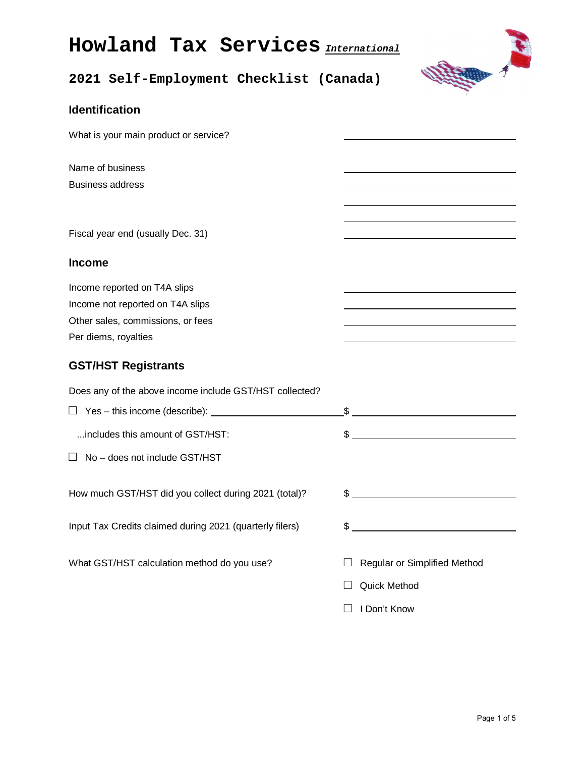# **Howland Tax Services** *International*



# **2021 Self-Employment Checklist (Canada)**

| <b>Identification</b>                                    |                                                                                                                                                                                                                                                                                                                     |
|----------------------------------------------------------|---------------------------------------------------------------------------------------------------------------------------------------------------------------------------------------------------------------------------------------------------------------------------------------------------------------------|
| What is your main product or service?                    |                                                                                                                                                                                                                                                                                                                     |
| Name of business                                         | <u> 1989 - Johann Barn, amerikansk politiker (d. 1989)</u>                                                                                                                                                                                                                                                          |
| <b>Business address</b>                                  |                                                                                                                                                                                                                                                                                                                     |
| Fiscal year end (usually Dec. 31)                        | <u> 1980 - Johann Barn, mars ann an t-Amhain Aonaich an t-Aonaich an t-Aonaich ann an t-Aonaich ann an t-Aonaich</u>                                                                                                                                                                                                |
| <b>Income</b>                                            |                                                                                                                                                                                                                                                                                                                     |
| Income reported on T4A slips                             | <u> 1989 - Johann Barn, amerikansk politiker (d. 1989)</u>                                                                                                                                                                                                                                                          |
| Income not reported on T4A slips                         | <u> 1980 - Johann Barn, mars ann an t-Amhain Aonaichte ann an t-Amhain Aonaichte ann an t-Amhain Aonaichte ann an</u>                                                                                                                                                                                               |
| Other sales, commissions, or fees                        | <u> 1989 - Johann Barnett, fransk politiker (d. 1989)</u>                                                                                                                                                                                                                                                           |
| Per diems, royalties                                     |                                                                                                                                                                                                                                                                                                                     |
| <b>GST/HST Registrants</b>                               |                                                                                                                                                                                                                                                                                                                     |
| Does any of the above income include GST/HST collected?  |                                                                                                                                                                                                                                                                                                                     |
| $\Box$ Yes - this income (describe): $\Box$              | $\frac{1}{2}$ $\frac{1}{2}$ $\frac{1}{2}$ $\frac{1}{2}$ $\frac{1}{2}$ $\frac{1}{2}$ $\frac{1}{2}$ $\frac{1}{2}$ $\frac{1}{2}$ $\frac{1}{2}$ $\frac{1}{2}$ $\frac{1}{2}$ $\frac{1}{2}$ $\frac{1}{2}$ $\frac{1}{2}$ $\frac{1}{2}$ $\frac{1}{2}$ $\frac{1}{2}$ $\frac{1}{2}$ $\frac{1}{2}$ $\frac{1}{2}$ $\frac{1}{2}$ |
| includes this amount of GST/HST:                         | $\frac{1}{2}$                                                                                                                                                                                                                                                                                                       |
| $\Box$ No - does not include GST/HST                     |                                                                                                                                                                                                                                                                                                                     |
| How much GST/HST did you collect during 2021 (total)?    | $\sim$                                                                                                                                                                                                                                                                                                              |
| Input Tax Credits claimed during 2021 (quarterly filers) | \$                                                                                                                                                                                                                                                                                                                  |
| What GST/HST calculation method do you use?              | Regular or Simplified Method                                                                                                                                                                                                                                                                                        |
|                                                          | Quick Method                                                                                                                                                                                                                                                                                                        |
|                                                          | I Don't Know                                                                                                                                                                                                                                                                                                        |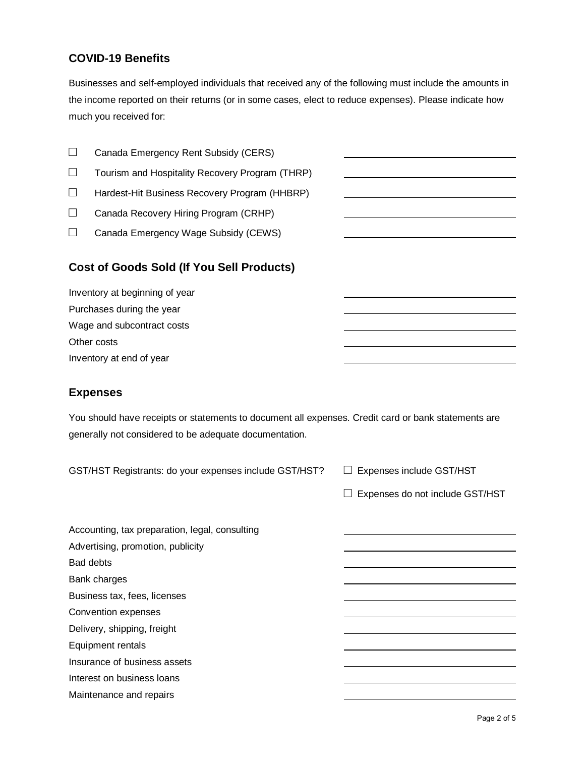# **COVID-19 Benefits**

□ Canada Emergency Rent Subsidy (CERS)

Businesses and self-employed individuals that received any of the following must include the amounts in the income reported on their returns (or in some cases, elect to reduce expenses). Please indicate how much you received for:

| $\Box$  | Tourism and Hospitality Recovery Program (THRP)  |  |
|---------|--------------------------------------------------|--|
| $\Box$  | Hardest-Hit Business Recovery Program (HHBRP)    |  |
| ⊔       | Canada Recovery Hiring Program (CRHP)            |  |
| $\perp$ | Canada Emergency Wage Subsidy (CEWS)             |  |
|         | <b>Cost of Goods Sold (If You Sell Products)</b> |  |
|         | Inventory at beginning of year                   |  |
|         | Purchases during the year                        |  |
|         | Wage and subcontract costs                       |  |
|         | Other costs                                      |  |
|         | Inventory at end of year                         |  |

#### **Expenses**

You should have receipts or statements to document all expenses. Credit card or bank statements are generally not considered to be adequate documentation.

GST/HST Registrants: do your expenses include GST/HST? **□** Expenses include GST/HST

□ Expenses do not include GST/HST

| Accounting, tax preparation, legal, consulting |  |
|------------------------------------------------|--|
| Advertising, promotion, publicity              |  |
| <b>Bad debts</b>                               |  |
| <b>Bank charges</b>                            |  |
| Business tax, fees, licenses                   |  |
| Convention expenses                            |  |
| Delivery, shipping, freight                    |  |
| Equipment rentals                              |  |
| Insurance of business assets                   |  |
| Interest on business loans                     |  |
| Maintenance and repairs                        |  |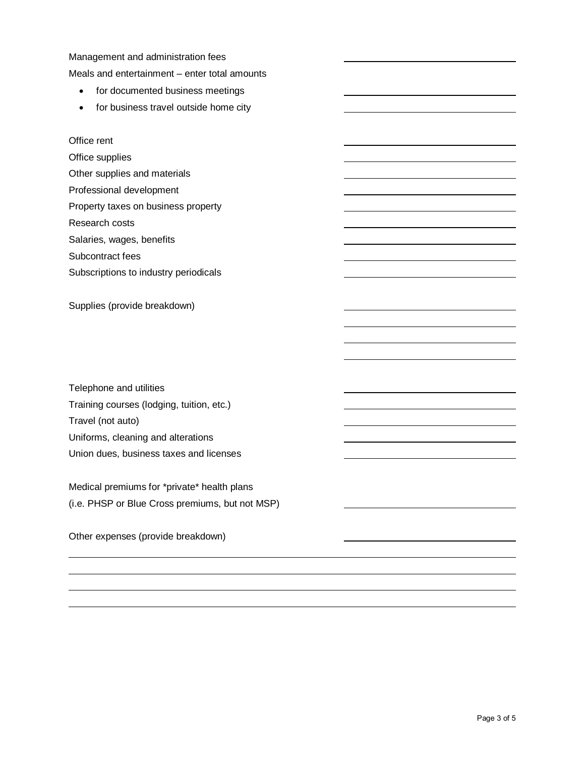Management and administration fees Meals and entertainment – enter total amounts • for documented business meetings • for business travel outside home city Office rent Office supplies Other supplies and materials Professional development Property taxes on business property Research costs Salaries, wages, benefits Subcontract fees Subscriptions to industry periodicals Supplies (provide breakdown) Telephone and utilities Training courses (lodging, tuition, etc.) Travel (not auto) Uniforms, cleaning and alterations Union dues, business taxes and licenses Medical premiums for \*private\* health plans (i.e. PHSP or Blue Cross premiums, but not MSP) Other expenses (provide breakdown) L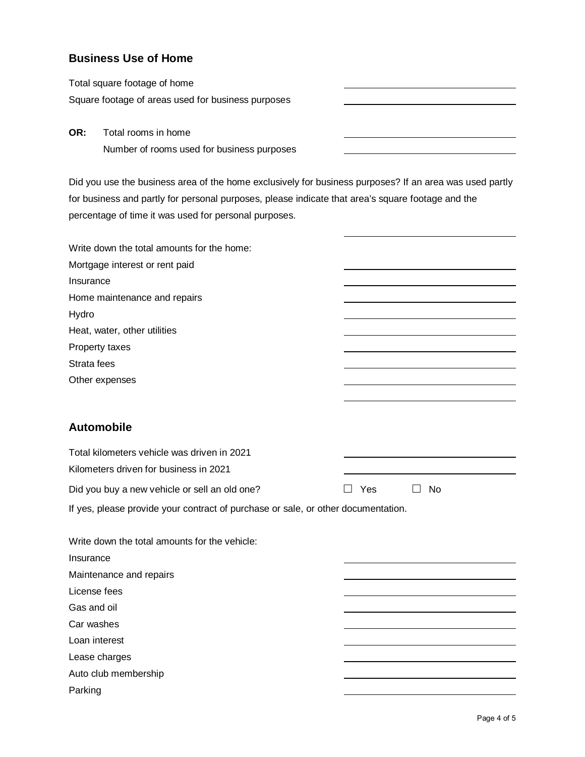# **Business Use of Home**

Parking

Total square footage of home Square footage of areas used for business purposes

**OR:** Total rooms in home Number of rooms used for business purposes

Did you use the business area of the home exclusively for business purposes? If an area was used partly for business and partly for personal purposes, please indicate that area's square footage and the percentage of time it was used for personal purposes.

| Write down the total amounts for the home:                                        |                                    |
|-----------------------------------------------------------------------------------|------------------------------------|
| Mortgage interest or rent paid                                                    |                                    |
| Insurance                                                                         |                                    |
| Home maintenance and repairs                                                      |                                    |
| Hydro                                                                             |                                    |
| Heat, water, other utilities                                                      |                                    |
| Property taxes                                                                    |                                    |
| Strata fees                                                                       |                                    |
| Other expenses                                                                    |                                    |
|                                                                                   |                                    |
|                                                                                   |                                    |
| <b>Automobile</b>                                                                 |                                    |
| Total kilometers vehicle was driven in 2021                                       |                                    |
| Kilometers driven for business in 2021                                            |                                    |
| Did you buy a new vehicle or sell an old one?                                     | $\Box$ Yes<br>$\perp$<br><b>No</b> |
| If yes, please provide your contract of purchase or sale, or other documentation. |                                    |
|                                                                                   |                                    |
| Write down the total amounts for the vehicle:                                     |                                    |
| Insurance                                                                         |                                    |
| Maintenance and repairs                                                           |                                    |
| License fees                                                                      |                                    |
| Gas and oil                                                                       |                                    |
| Car washes                                                                        |                                    |
| Loan interest                                                                     |                                    |
|                                                                                   |                                    |
| Lease charges                                                                     |                                    |